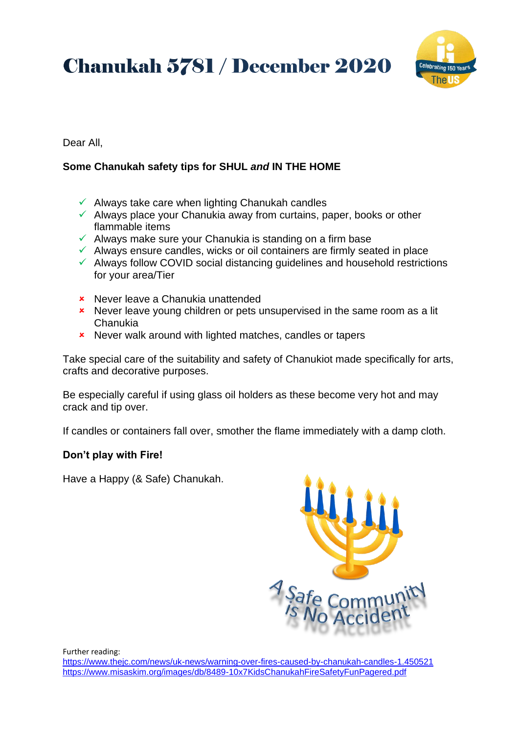**Chanukah 5781 / December 2020** 



#### Dear All,

## **Some Chanukah safety tips for SHUL** *and* **IN THE HOME**

- $\checkmark$  Always take care when lighting Chanukah candles
- $\checkmark$  Always place your Chanukia away from curtains, paper, books or other flammable items
- $\checkmark$  Always make sure your Chanukia is standing on a firm base
- $\checkmark$  Always ensure candles, wicks or oil containers are firmly seated in place
- $\checkmark$  Always follow COVID social distancing guidelines and household restrictions for your area/Tier
- **\*** Never leave a Chanukia unattended
- **\*** Never leave young children or pets unsupervised in the same room as a lit Chanukia
- **\*** Never walk around with lighted matches, candles or tapers

Take special care of the suitability and safety of Chanukiot made specifically for arts, crafts and decorative purposes.

Be especially careful if using glass oil holders as these become very hot and may crack and tip over.

If candles or containers fall over, smother the flame immediately with a damp cloth.

### **Don't play with Fire!**

Have a Happy (& Safe) Chanukah.



Further reading:

<https://www.thejc.com/news/uk-news/warning-over-fires-caused-by-chanukah-candles-1.450521> <https://www.misaskim.org/images/db/8489-10x7KidsChanukahFireSafetyFunPagered.pdf>